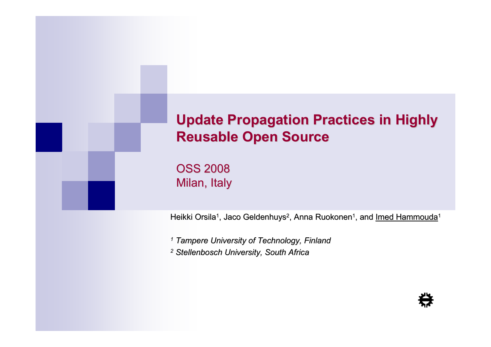#### Update Propagation Practices in Highly Reusable Open Source

OSS 2008Milan, Italy

Heikki Orsila<sup>1</sup>, Jaco Geldenhuys<sup>2</sup>, Anna Ruokonen<sup>1</sup>, and <u>Imed Hammouda</u>1

1 Tampere University of Technology, Finland

2 Stellenbosch University, South Africa

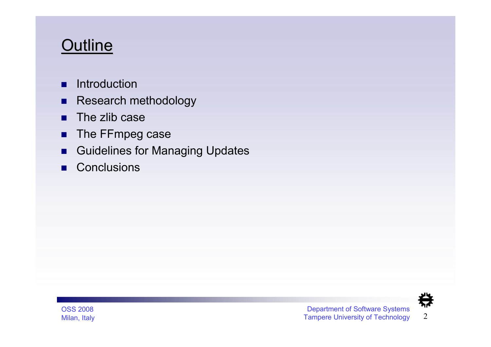### **Outline**

- п Introduction
- $\blacksquare$ Research methodology
- п The zlib case
- п The FFmpeg case
- $\blacksquare$ Guidelines for Managing Updates
- $\blacksquare$ **Conclusions**

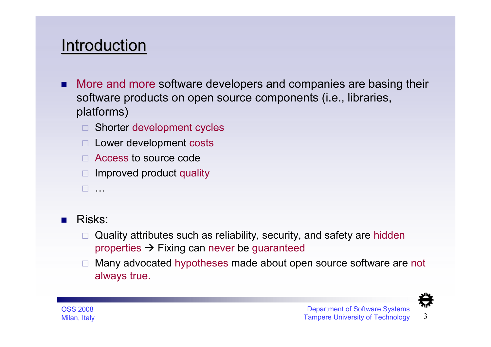### **Introduction**

- п More and more software developers and companies are basing their software products on open source components (i.e., libraries, platforms)
	- □ Shorter development cycles
	- □ Lower development costs
	- □ Access to source code
	- □ Improved product quality
	- -…
- $\mathcal{L}^{\mathcal{L}}$  Risks:
	- □ Quality attributes such as reliability, security, and safety are hidden properties → Fixing can never be guaranteed<br>Manu advessted bygathaase made about and
	- $\Box$  Many advocated hypotheses made about open source software are not always true.

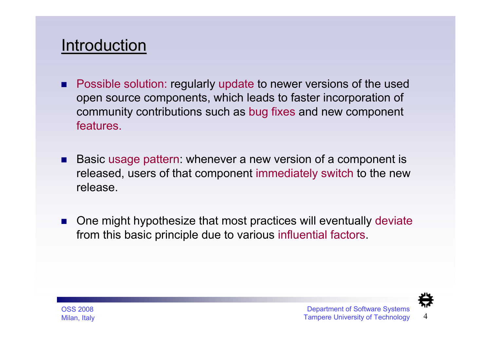#### **Introduction**

- . Possible solution: regularly update to newer versions of the used open source components, which leads to faster incorporation of community contributions such as bug fixes and new component features.
- Basic usage pattern: whenever a new version of a component is released, users of that component immediately switch to the new release.
- L. One might hypothesize that most practices will eventually deviate from this basic principle due to various influential factors.

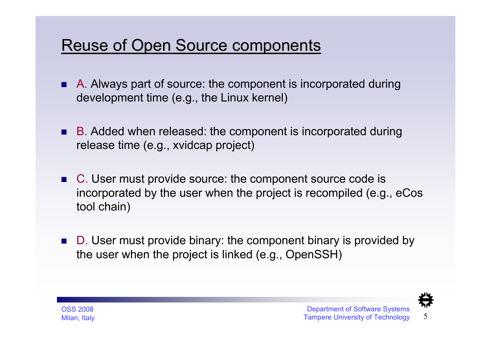### Reuse of Open Source components

- A. Always part of source: the component is incorporated during development time (e.g., the Linux kernel)
- B. Added when released: the component is incorporated during release time (e.g., xvidcap project)
- C. User must provide source: the component source code is incorporated by the user when the project is recompiled (e.g., eCostool chain)
- D. User must provide binary: the component binary is provided by the user when the project is linked (e.g., OpenSSH)

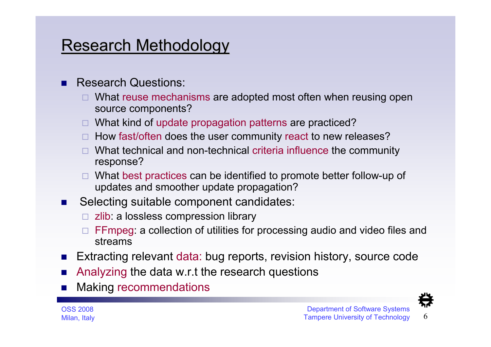### Research Methodology

- п Research Questions:
	- □ What reuse mechanisms are adopted most often when reusing open source components?
	- □ What kind of update propagation patterns are practiced?
	- □ How fast/often does the user community react to new releases?
	- □ What technical and non-technical criteria influence the community<br>
	Feanance2 response?
	- □ What best practices can be identified to promote better follow-up of updates and smoother update propagation?
- **Selecting suitable component candidates:**  $\mathcal{L}_{\rm{max}}$ 
	- □ zlib: a lossless compression library
	- □ FFmpeg: a collection of utilities for processing audio and video files and strooms streams
- Extracting relevant data: bug reports, revision history, source code
- Analyzing the data w.r.t the research questions
- L. Making recommendations

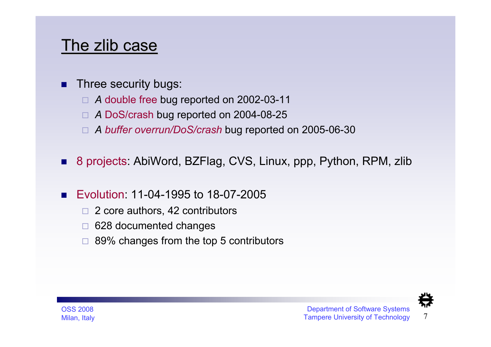- п Three security bugs:
	- □ A double free bug reported on 2002-03-11
	- □ A DoS/crash bug reported on 2004-08-25
	- □ A buffer overrun/DoS/crash bug reported on 2005-06-30
- $\mathcal{L}_{\mathcal{A}}$ 8 projects: AbiWord, BZFlag, CVS, Linux, ppp, Python, RPM, zlib
- $\mathcal{L}_{\mathcal{A}}$  Evolution: 11-04-1995 to 18-07-2005
	- $\Box$  2 core authors, 42 contributors
	- □ 628 documented changes
	- $\Box$  89% changes from the top 5 contributors

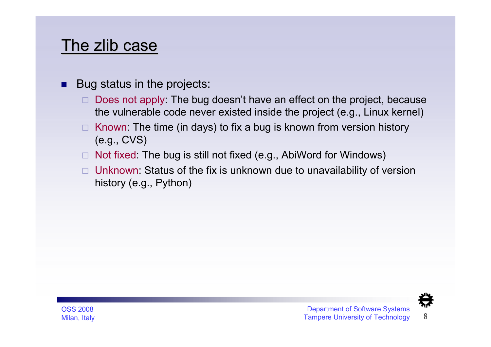- Bug status in the projects:
	- $\Box$  Does not apply: The bug doesn't have an effect on the project, because the vulnerable code never existed inside the project (e.g., Linux kernel)
	- □ Known: The time (in days) to fix a bug is known from version history (e.g., CVS)
	- □ Not fixed: The bug is still not fixed (e.g., AbiWord for Windows)
	- □ Unknown: Status of the fix is unknown due to unavailability of version history (e.g., Python)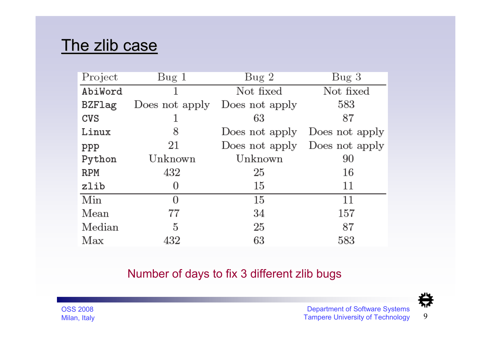| Project    | Bug 1          | Bug2           | Bug <sub>3</sub> |
|------------|----------------|----------------|------------------|
| AbiWord    |                | Not fixed      | Not fixed        |
| BZFlag     | Does not apply | Does not apply | 583              |
| CVS        |                | 63             | 87               |
| Linux      | 8              | Does not apply | Does not apply   |
| ppp        | 21             | Does not apply | Does not apply   |
| Python     | Unknown        | Unknown        | 90               |
| <b>RPM</b> | 432            | 25             | 16               |
| zlib       | 0              | 15             | 11               |
| Min        | 0              | 15             | 11               |
| Mean       | 77             | 34             | 157              |
| Median     | 5              | 25             | 87               |
| Max        | 432            | 63             | 583              |

#### Number of days to fix 3 different zlib bugs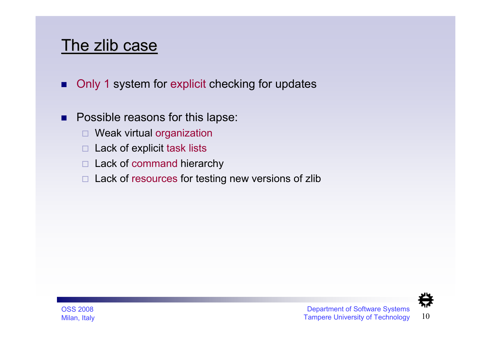- п Only <sup>1</sup> system for explicit checking for updates
- п Possible reasons for this lapse:
	- $\Box$ Weak virtual organization
	- $\Box$  Lack of explicit task lists
	- □ Lack of command hierarchy
	- $\Box$ Lack of resources for testing new versions of zlib

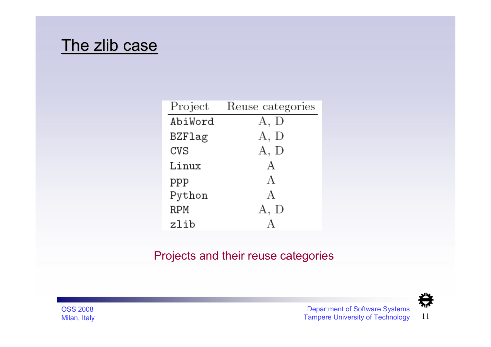| Project       | Reuse categories |
|---------------|------------------|
| AbiWord       | A, D             |
| <b>BZFlag</b> | A, D             |
| CVS           | A, D             |
| Linux         | А                |
| ppp           | A                |
| Python        | A                |
| <b>RPM</b>    | A, D             |
| zlib          |                  |

#### Projects and their reuse categories

综 Department of Software Systems <sup>11</sup> Tampere University of Technology

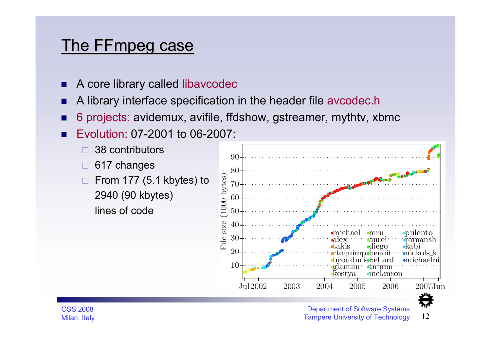## <u>The FFmpeg case</u>

- п A core library called libavcodec
- F. A library interface specification in the header file avcodec.h
- п 6 projects: avidemux, avifile, ffdshow, gstreamer, mythtv, xbmc
- Evolution: 07-2001 to 06-2007:

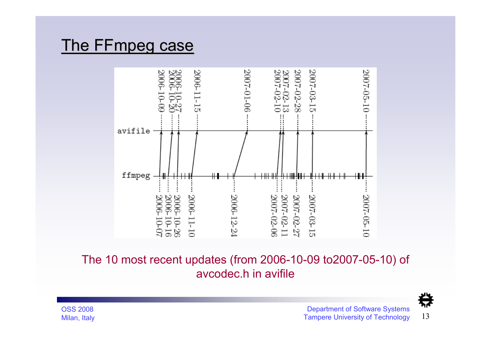## <u>The FFmpeg case</u>



The 10 most recent updates (from 2006-10-09 to2007-05-10) of avcodec.h in avifile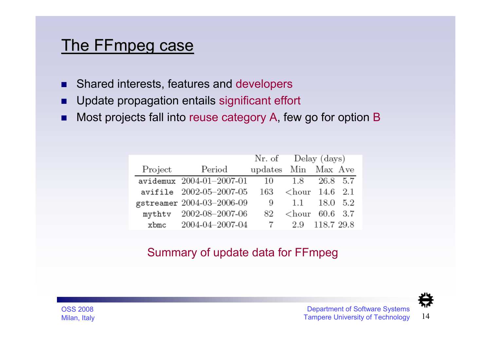## <u>The FFmpeg case</u>

- п Shared interests, features and developers
- п Update propagation entails significant effort
- п Most projects fall into reuse category A, few go for option B

|         |                            | Nr. of Delay (days) |                         |            |      |
|---------|----------------------------|---------------------|-------------------------|------------|------|
| Project | Period                     | updates Min Max Ave |                         |            |      |
|         | $avidemux$ 2004-01-2007-01 |                     | 10 1.8                  | 26.8 5.7   |      |
|         | avifile 2002-05-2007-05    | 163                 | $\langle$ hour 14.6 2.1 |            |      |
|         | gstreamer 2004-03-2006-09  | 9                   | 1.1                     | 18.0       | -5.2 |
|         | mythtv 2002-08-2007-06     | 82.                 | $\langle$ hour 60.6 3.7 |            |      |
| $x$ bmc | 2004-04-2007-04            |                     | 2.9                     | 118.7 29.8 |      |

#### Summary of update data for FFmpeg

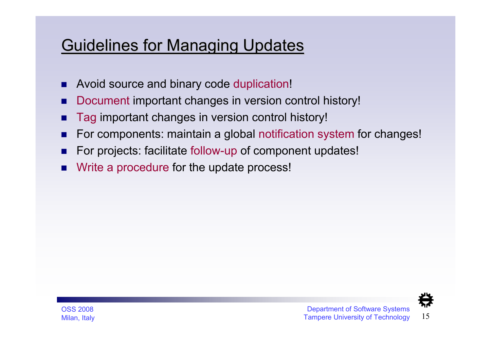### Guidelines for Managing Updates

- п Avoid source and binary code duplication!
- F. Document important changes in version control history!
- Tag important changes in version control history!
- For components: maintain a global notification system for changes!
- T. For projects: facilitate follow-up of component updates!
- $\blacksquare$ Write a procedure for the update process!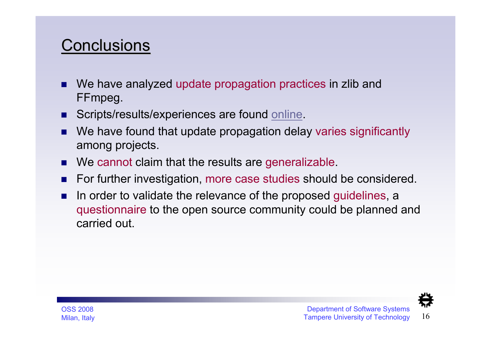### **Conclusions**

- We have analyzed update propagation practices in zlib and FFmpeg.
- п Scripts/results/experiences are found online.
- We have found that update propagation delay varies significantly among projects.
- We cannot claim that the results are generalizable.
- $\mathcal{L}$ For further investigation, more case studies should be considered.
- $\blacksquare$  In order to validate the relevance of the proposed guidelines, a questionnaire to the open source community could be planned and carried out.